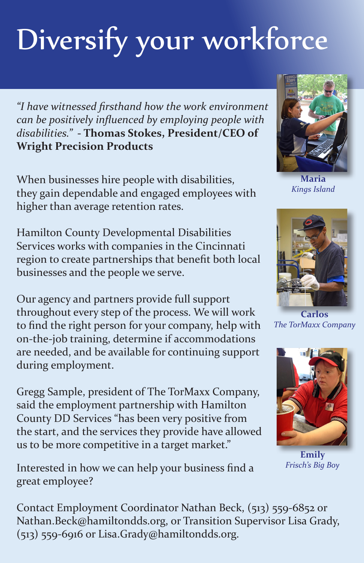## Diversify your workforce

*"I have witnessed firsthand how the work environment can be positively influenced by employing people with disabilities."* **- Thomas Stokes, President/CEO of Wright Precision Products**

When businesses hire people with disabilities, they gain dependable and engaged employees with higher than average retention rates.

Hamilton County Developmental Disabilities Services works with companies in the Cincinnati region to create partnerships that benefit both local businesses and the people we serve.

Our agency and partners provide full support throughout every step of the process. We will work to find the right person for your company, help with on-the-job training, determine if accommodations are needed, and be available for continuing support during employment.

Gregg Sample, president of The TorMaxx Company, said the employment partnership with Hamilton County DD Services "has been very positive from the start, and the services they provide have allowed us to be more competitive in a target market."

Interested in how we can help your business find a great employee?

Contact Employment Coordinator Nathan Beck, (513) 559-6852 or Nathan.Beck@hamiltondds.org, or Transition Supervisor Lisa Grady, (513) 559-6916 or Lisa.Grady@hamiltondds.org.

**Maria** *Kings Island*

**Carlos**

*The TorMaxx Company*



**Emily** *Frisch's Big Boy*